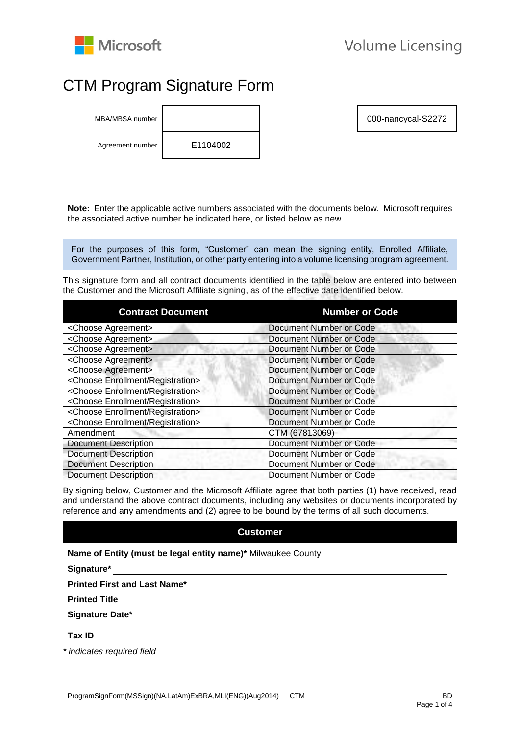

# CTM Program Signature Form

MBA/MBSA number **1000-nancycal-S2272** Agreement number E1104002

**Note:** Enter the applicable active numbers associated with the documents below. Microsoft requires the associated active number be indicated here, or listed below as new.

For the purposes of this form, "Customer" can mean the signing entity, Enrolled Affiliate, Government Partner, Institution, or other party entering into a volume licensing program agreement.

This signature form and all contract documents identified in the table below are entered into between the Customer and the Microsoft Affiliate signing, as of the effective date identified below.

| <b>Contract Document</b>                        | <b>Number or Code</b>          |
|-------------------------------------------------|--------------------------------|
| <choose agreement=""></choose>                  | <b>Document Number or Code</b> |
| <choose agreement=""></choose>                  | Document Number or Code        |
| <choose agreement=""></choose>                  | Document Number or Code        |
| <choose agreement=""></choose>                  | <b>Document Number or Code</b> |
| <choose agreement=""></choose>                  | <b>Document Number or Code</b> |
| <choose enrollment="" registration=""></choose> | Document Number or Code        |
| <choose enrollment="" registration=""></choose> | <b>Document Number or Code</b> |
| <choose enrollment="" registration=""></choose> | Document Number or Code        |
| <choose enrollment="" registration=""></choose> | <b>Document Number or Code</b> |
| <choose enrollment="" registration=""></choose> | Document Number or Code        |
| Amendment                                       | CTM (67813069)                 |
| <b>Document Description</b>                     | Document Number or Code        |
| <b>Document Description</b>                     | Document Number or Code        |
| <b>Document Description</b>                     | Document Number or Code        |
| <b>Document Description</b>                     | Document Number or Code        |

By signing below, Customer and the Microsoft Affiliate agree that both parties (1) have received, read and understand the above contract documents, including any websites or documents incorporated by reference and any amendments and (2) agree to be bound by the terms of all such documents.

# **Customer**

| Name of Entity (must be legal entity name)* Milwaukee County |  |  |  |
|--------------------------------------------------------------|--|--|--|
|                                                              |  |  |  |

**Signature\*** 

**Printed First and Last Name\*** 

**Printed Title** 

**Signature Date\*** 

**Tax ID** 

*\* indicates required field*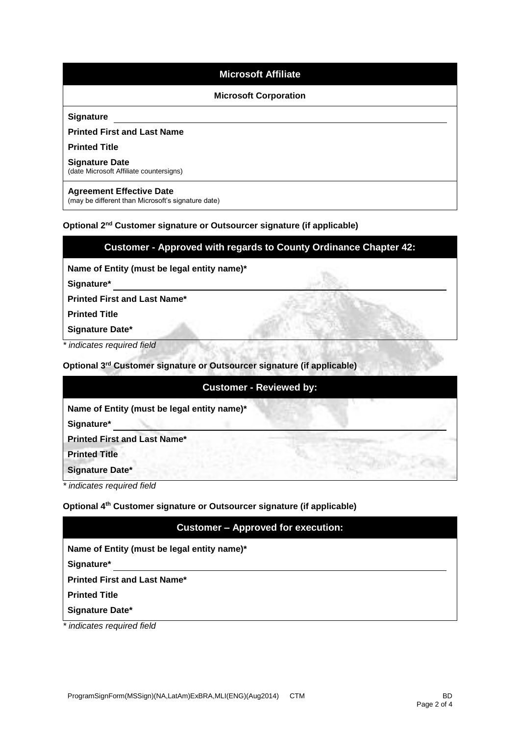# **Microsoft Affiliate**

## **Microsoft Corporation**

#### **Signature**

## **Printed First and Last Name**

#### **Printed Title**

#### **Signature Date**

(date Microsoft Affiliate countersigns)

## **Agreement Effective Date**

(may be different than Microsoft's signature date)

## **Optional 2nd Customer signature or Outsourcer signature (if applicable)**

# **Customer - Approved with regards to County Ordinance Chapter 42:**

**Name of Entity (must be legal entity name)\*** 

**Signature\*** 

**Printed First and Last Name\*** 

**Printed Title** 

**Signature Date\*** 

*\* indicates required field*

**Optional 3 rd Customer signature or Outsourcer signature (if applicable)**

## **Customer - Reviewed by:**

**Name of Entity (must be legal entity name)\*** 

**Signature\*** 

**Printed First and Last Name\*** 

**Printed Title** 

**Signature Date\*** 

*\* indicates required field*

## **Optional 4 th Customer signature or Outsourcer signature (if applicable)**

# **Customer – Approved for execution:**

**Name of Entity (must be legal entity name)\*** 

**Signature\*** 

**Printed First and Last Name\*** 

**Printed Title** 

**Signature Date\*** 

*\* indicates required field*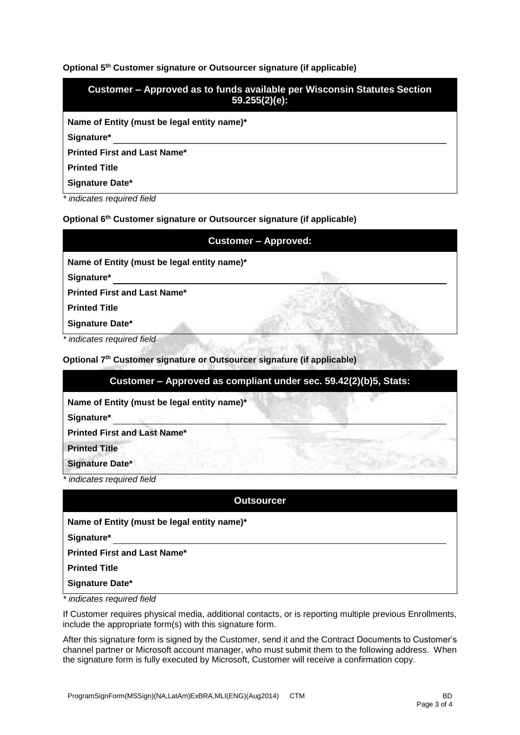## **Optional 5 th Customer signature or Outsourcer signature (if applicable)**

| Customer – Approved as to funds available per Wisconsin Statutes Section<br>$59.255(2)(e)$ : |
|----------------------------------------------------------------------------------------------|
| Name of Entity (must be legal entity name)*                                                  |
| Signature*                                                                                   |
| <b>Printed First and Last Name*</b>                                                          |
| <b>Printed Title</b>                                                                         |
| Signature Date*                                                                              |

*\* indicates required field*

## **Optional 6 th Customer signature or Outsourcer signature (if applicable)**

| <b>Customer - Approved:</b>                 |  |  |  |  |
|---------------------------------------------|--|--|--|--|
| Name of Entity (must be legal entity name)* |  |  |  |  |
| Signature*                                  |  |  |  |  |
| <b>Printed First and Last Name*</b>         |  |  |  |  |
| <b>Printed Title</b>                        |  |  |  |  |
| Signature Date*                             |  |  |  |  |
| $*$ in diagram as $n_1$ in all $f$ of $d$   |  |  |  |  |

*indicates required field* 

## **Optional 7 th Customer signature or Outsourcer signature (if applicable)**

# **Customer – Approved as compliant under sec. 59.42(2)(b)5, Stats:**

**Name of Entity (must be legal entity name)\*** 

**Signature\*** 

**Printed First and Last Name\*** 

**Printed Title** 

**Signature Date\*** 

*\* indicates required field*

| <b>Outsourcer</b>                           |
|---------------------------------------------|
| Name of Entity (must be legal entity name)* |
| Signature*                                  |
| <b>Printed First and Last Name*</b>         |
| <b>Printed Title</b>                        |
| Signature Date*                             |

*\* indicates required field*

If Customer requires physical media, additional contacts, or is reporting multiple previous Enrollments, include the appropriate form(s) with this signature form.

After this signature form is signed by the Customer, send it and the Contract Documents to Customer's channel partner or Microsoft account manager, who must submit them to the following address. When the signature form is fully executed by Microsoft, Customer will receive a confirmation copy.